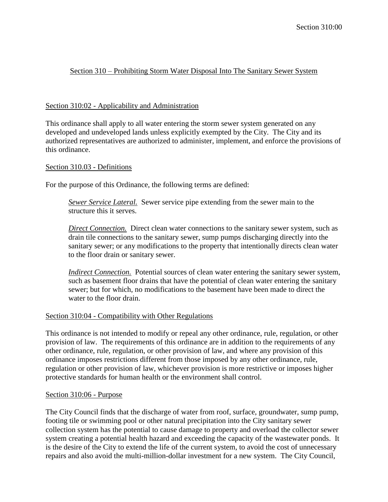# Section 310 – Prohibiting Storm Water Disposal Into The Sanitary Sewer System

## Section 310:02 - Applicability and Administration

This ordinance shall apply to all water entering the storm sewer system generated on any developed and undeveloped lands unless explicitly exempted by the City. The City and its authorized representatives are authorized to administer, implement, and enforce the provisions of this ordinance.

### Section 310.03 - Definitions

For the purpose of this Ordinance, the following terms are defined:

*Sewer Service Lateral.* Sewer service pipe extending from the sewer main to the structure this it serves.

*Direct Connection.* Direct clean water connections to the sanitary sewer system, such as drain tile connections to the sanitary sewer, sump pumps discharging directly into the sanitary sewer; or any modifications to the property that intentionally directs clean water to the floor drain or sanitary sewer.

*Indirect Connection.* Potential sources of clean water entering the sanitary sewer system, such as basement floor drains that have the potential of clean water entering the sanitary sewer; but for which, no modifications to the basement have been made to direct the water to the floor drain.

### Section 310:04 - Compatibility with Other Regulations

This ordinance is not intended to modify or repeal any other ordinance, rule, regulation, or other provision of law. The requirements of this ordinance are in addition to the requirements of any other ordinance, rule, regulation, or other provision of law, and where any provision of this ordinance imposes restrictions different from those imposed by any other ordinance, rule, regulation or other provision of law, whichever provision is more restrictive or imposes higher protective standards for human health or the environment shall control.

### Section 310:06 - Purpose

The City Council finds that the discharge of water from roof, surface, groundwater, sump pump, footing tile or swimming pool or other natural precipitation into the City sanitary sewer collection system has the potential to cause damage to property and overload the collector sewer system creating a potential health hazard and exceeding the capacity of the wastewater ponds. It is the desire of the City to extend the life of the current system, to avoid the cost of unnecessary repairs and also avoid the multi-million-dollar investment for a new system. The City Council,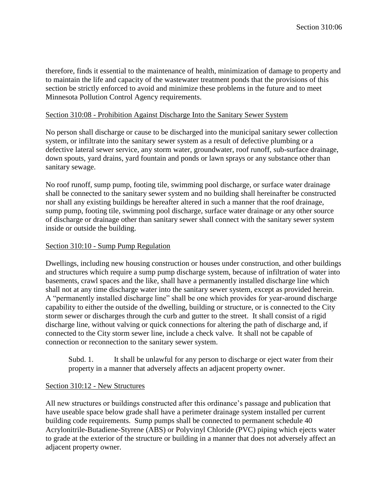therefore, finds it essential to the maintenance of health, minimization of damage to property and to maintain the life and capacity of the wastewater treatment ponds that the provisions of this section be strictly enforced to avoid and minimize these problems in the future and to meet Minnesota Pollution Control Agency requirements.

#### Section 310:08 - Prohibition Against Discharge Into the Sanitary Sewer System

No person shall discharge or cause to be discharged into the municipal sanitary sewer collection system, or infiltrate into the sanitary sewer system as a result of defective plumbing or a defective lateral sewer service, any storm water, groundwater, roof runoff, sub-surface drainage, down spouts, yard drains, yard fountain and ponds or lawn sprays or any substance other than sanitary sewage.

No roof runoff, sump pump, footing tile, swimming pool discharge, or surface water drainage shall be connected to the sanitary sewer system and no building shall hereinafter be constructed nor shall any existing buildings be hereafter altered in such a manner that the roof drainage, sump pump, footing tile, swimming pool discharge, surface water drainage or any other source of discharge or drainage other than sanitary sewer shall connect with the sanitary sewer system inside or outside the building.

#### Section 310:10 - Sump Pump Regulation

Dwellings, including new housing construction or houses under construction, and other buildings and structures which require a sump pump discharge system, because of infiltration of water into basements, crawl spaces and the like, shall have a permanently installed discharge line which shall not at any time discharge water into the sanitary sewer system, except as provided herein. A "permanently installed discharge line" shall be one which provides for year-around discharge capability to either the outside of the dwelling, building or structure, or is connected to the City storm sewer or discharges through the curb and gutter to the street. It shall consist of a rigid discharge line, without valving or quick connections for altering the path of discharge and, if connected to the City storm sewer line, include a check valve. It shall not be capable of connection or reconnection to the sanitary sewer system.

Subd. 1. It shall be unlawful for any person to discharge or eject water from their property in a manner that adversely affects an adjacent property owner.

### Section 310:12 - New Structures

All new structures or buildings constructed after this ordinance's passage and publication that have useable space below grade shall have a perimeter drainage system installed per current building code requirements. Sump pumps shall be connected to permanent schedule 40 Acrylonitrile-Butadiene-Styrene (ABS) or Polyvinyl Chloride (PVC) piping which ejects water to grade at the exterior of the structure or building in a manner that does not adversely affect an adjacent property owner.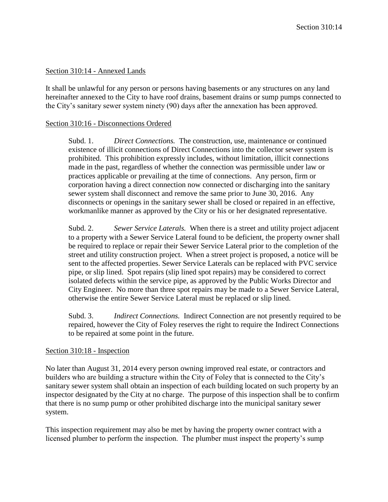#### Section 310:14 - Annexed Lands

It shall be unlawful for any person or persons having basements or any structures on any land hereinafter annexed to the City to have roof drains, basement drains or sump pumps connected to the City's sanitary sewer system ninety (90) days after the annexation has been approved.

#### Section 310:16 - Disconnections Ordered

Subd. 1. *Direct Connections.* The construction, use, maintenance or continued existence of illicit connections of Direct Connections into the collector sewer system is prohibited. This prohibition expressly includes, without limitation, illicit connections made in the past, regardless of whether the connection was permissible under law or practices applicable or prevailing at the time of connections. Any person, firm or corporation having a direct connection now connected or discharging into the sanitary sewer system shall disconnect and remove the same prior to June 30, 2016. Any disconnects or openings in the sanitary sewer shall be closed or repaired in an effective, workmanlike manner as approved by the City or his or her designated representative.

Subd. 2. *Sewer Service Laterals.* When there is a street and utility project adjacent to a property with a Sewer Service Lateral found to be deficient, the property owner shall be required to replace or repair their Sewer Service Lateral prior to the completion of the street and utility construction project. When a street project is proposed, a notice will be sent to the affected properties. Sewer Service Laterals can be replaced with PVC service pipe, or slip lined. Spot repairs (slip lined spot repairs) may be considered to correct isolated defects within the service pipe, as approved by the Public Works Director and City Engineer. No more than three spot repairs may be made to a Sewer Service Lateral, otherwise the entire Sewer Service Lateral must be replaced or slip lined.

Subd. 3. *Indirect Connections.* Indirect Connection are not presently required to be repaired, however the City of Foley reserves the right to require the Indirect Connections to be repaired at some point in the future.

#### Section 310:18 - Inspection

No later than August 31, 2014 every person owning improved real estate, or contractors and builders who are building a structure within the City of Foley that is connected to the City's sanitary sewer system shall obtain an inspection of each building located on such property by an inspector designated by the City at no charge. The purpose of this inspection shall be to confirm that there is no sump pump or other prohibited discharge into the municipal sanitary sewer system.

This inspection requirement may also be met by having the property owner contract with a licensed plumber to perform the inspection. The plumber must inspect the property's sump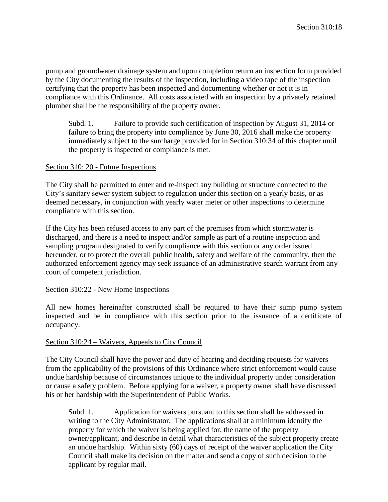pump and groundwater drainage system and upon completion return an inspection form provided by the City documenting the results of the inspection, including a video tape of the inspection certifying that the property has been inspected and documenting whether or not it is in compliance with this Ordinance. All costs associated with an inspection by a privately retained plumber shall be the responsibility of the property owner.

Subd. 1. Failure to provide such certification of inspection by August 31, 2014 or failure to bring the property into compliance by June 30, 2016 shall make the property immediately subject to the surcharge provided for in Section 310:34 of this chapter until the property is inspected or compliance is met.

### Section 310: 20 - Future Inspections

The City shall be permitted to enter and re-inspect any building or structure connected to the City's sanitary sewer system subject to regulation under this section on a yearly basis, or as deemed necessary, in conjunction with yearly water meter or other inspections to determine compliance with this section.

If the City has been refused access to any part of the premises from which stormwater is discharged, and there is a need to inspect and/or sample as part of a routine inspection and sampling program designated to verify compliance with this section or any order issued hereunder, or to protect the overall public health, safety and welfare of the community, then the authorized enforcement agency may seek issuance of an administrative search warrant from any court of competent jurisdiction.

### Section 310:22 - New Home Inspections

All new homes hereinafter constructed shall be required to have their sump pump system inspected and be in compliance with this section prior to the issuance of a certificate of occupancy.

### Section 310:24 – Waivers, Appeals to City Council

The City Council shall have the power and duty of hearing and deciding requests for waivers from the applicability of the provisions of this Ordinance where strict enforcement would cause undue hardship because of circumstances unique to the individual property under consideration or cause a safety problem. Before applying for a waiver, a property owner shall have discussed his or her hardship with the Superintendent of Public Works.

Subd. 1. Application for waivers pursuant to this section shall be addressed in writing to the City Administrator. The applications shall at a minimum identify the property for which the waiver is being applied for, the name of the property owner/applicant, and describe in detail what characteristics of the subject property create an undue hardship. Within sixty (60) days of receipt of the waiver application the City Council shall make its decision on the matter and send a copy of such decision to the applicant by regular mail.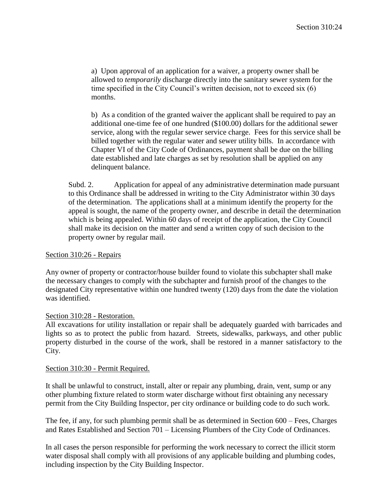a) Upon approval of an application for a waiver, a property owner shall be allowed to *temporarily* discharge directly into the sanitary sewer system for the time specified in the City Council's written decision, not to exceed six (6) months.

b) As a condition of the granted waiver the applicant shall be required to pay an additional one-time fee of one hundred (\$100.00) dollars for the additional sewer service, along with the regular sewer service charge. Fees for this service shall be billed together with the regular water and sewer utility bills. In accordance with Chapter VI of the City Code of Ordinances, payment shall be due on the billing date established and late charges as set by resolution shall be applied on any delinquent balance.

Subd. 2. Application for appeal of any administrative determination made pursuant to this Ordinance shall be addressed in writing to the City Administrator within 30 days of the determination. The applications shall at a minimum identify the property for the appeal is sought, the name of the property owner, and describe in detail the determination which is being appealed. Within 60 days of receipt of the application, the City Council shall make its decision on the matter and send a written copy of such decision to the property owner by regular mail.

## Section 310:26 - Repairs

Any owner of property or contractor/house builder found to violate this subchapter shall make the necessary changes to comply with the subchapter and furnish proof of the changes to the designated City representative within one hundred twenty (120) days from the date the violation was identified.

### Section 310:28 - Restoration.

All excavations for utility installation or repair shall be adequately guarded with barricades and lights so as to protect the public from hazard. Streets, sidewalks, parkways, and other public property disturbed in the course of the work, shall be restored in a manner satisfactory to the City.

### Section 310:30 - Permit Required.

It shall be unlawful to construct, install, alter or repair any plumbing, drain, vent, sump or any other plumbing fixture related to storm water discharge without first obtaining any necessary permit from the City Building Inspector, per city ordinance or building code to do such work.

The fee, if any, for such plumbing permit shall be as determined in Section 600 – Fees, Charges and Rates Established and Section 701 – Licensing Plumbers of the City Code of Ordinances.

In all cases the person responsible for performing the work necessary to correct the illicit storm water disposal shall comply with all provisions of any applicable building and plumbing codes, including inspection by the City Building Inspector.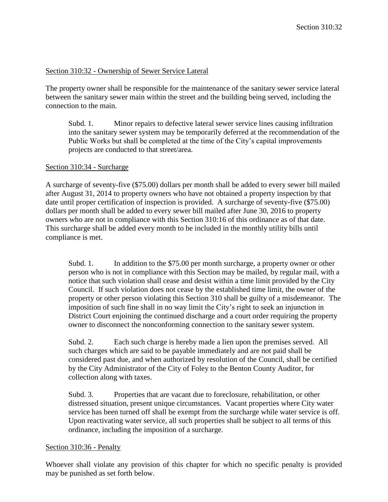### Section 310:32 - Ownership of Sewer Service Lateral

The property owner shall be responsible for the maintenance of the sanitary sewer service lateral between the sanitary sewer main within the street and the building being served, including the connection to the main.

Subd. 1. Minor repairs to defective lateral sewer service lines causing infiltration into the sanitary sewer system may be temporarily deferred at the recommendation of the Public Works but shall be completed at the time of the City's capital improvements projects are conducted to that street/area.

### Section 310:34 - Surcharge

A surcharge of seventy-five (\$75.00) dollars per month shall be added to every sewer bill mailed after August 31, 2014 to property owners who have not obtained a property inspection by that date until proper certification of inspection is provided. A surcharge of seventy-five (\$75.00) dollars per month shall be added to every sewer bill mailed after June 30, 2016 to property owners who are not in compliance with this Section 310:16 of this ordinance as of that date. This surcharge shall be added every month to be included in the monthly utility bills until compliance is met.

Subd. 1. In addition to the \$75.00 per month surcharge, a property owner or other person who is not in compliance with this Section may be mailed, by regular mail, with a notice that such violation shall cease and desist within a time limit provided by the City Council. If such violation does not cease by the established time limit, the owner of the property or other person violating this Section 310 shall be guilty of a misdemeanor. The imposition of such fine shall in no way limit the City's right to seek an injunction in District Court enjoining the continued discharge and a court order requiring the property owner to disconnect the nonconforming connection to the sanitary sewer system.

Subd. 2. Each such charge is hereby made a lien upon the premises served. All such charges which are said to be payable immediately and are not paid shall be considered past due, and when authorized by resolution of the Council, shall be certified by the City Administrator of the City of Foley to the Benton County Auditor, for collection along with taxes.

Subd. 3. Properties that are vacant due to foreclosure, rehabilitation, or other distressed situation, present unique circumstances. Vacant properties where City water service has been turned off shall be exempt from the surcharge while water service is off. Upon reactivating water service, all such properties shall be subject to all terms of this ordinance, including the imposition of a surcharge.

### Section 310:36 - Penalty

Whoever shall violate any provision of this chapter for which no specific penalty is provided may be punished as set forth below.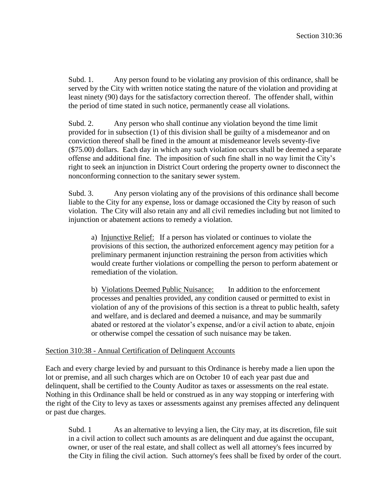Subd. 1. Any person found to be violating any provision of this ordinance, shall be served by the City with written notice stating the nature of the violation and providing at least ninety (90) days for the satisfactory correction thereof. The offender shall, within the period of time stated in such notice, permanently cease all violations.

Subd. 2. Any person who shall continue any violation beyond the time limit provided for in subsection (1) of this division shall be guilty of a misdemeanor and on conviction thereof shall be fined in the amount at misdemeanor levels seventy-five (\$75.00) dollars. Each day in which any such violation occurs shall be deemed a separate offense and additional fine. The imposition of such fine shall in no way limit the City's right to seek an injunction in District Court ordering the property owner to disconnect the nonconforming connection to the sanitary sewer system.

Subd. 3. Any person violating any of the provisions of this ordinance shall become liable to the City for any expense, loss or damage occasioned the City by reason of such violation. The City will also retain any and all civil remedies including but not limited to injunction or abatement actions to remedy a violation.

a) Injunctive Relief: If a person has violated or continues to violate the provisions of this section, the authorized enforcement agency may petition for a preliminary permanent injunction restraining the person from activities which would create further violations or compelling the person to perform abatement or remediation of the violation.

b) Violations Deemed Public Nuisance: In addition to the enforcement processes and penalties provided, any condition caused or permitted to exist in violation of any of the provisions of this section is a threat to public health, safety and welfare, and is declared and deemed a nuisance, and may be summarily abated or restored at the violator's expense, and/or a civil action to abate, enjoin or otherwise compel the cessation of such nuisance may be taken.

#### Section 310:38 - Annual Certification of Delinquent Accounts

Each and every charge levied by and pursuant to this Ordinance is hereby made a lien upon the lot or premise, and all such charges which are on October 10 of each year past due and delinquent, shall be certified to the County Auditor as taxes or assessments on the real estate. Nothing in this Ordinance shall be held or construed as in any way stopping or interfering with the right of the City to levy as taxes or assessments against any premises affected any delinquent or past due charges.

Subd. 1 As an alternative to levying a lien, the City may, at its discretion, file suit in a civil action to collect such amounts as are delinquent and due against the occupant, owner, or user of the real estate, and shall collect as well all attorney's fees incurred by the City in filing the civil action. Such attorney's fees shall be fixed by order of the court.